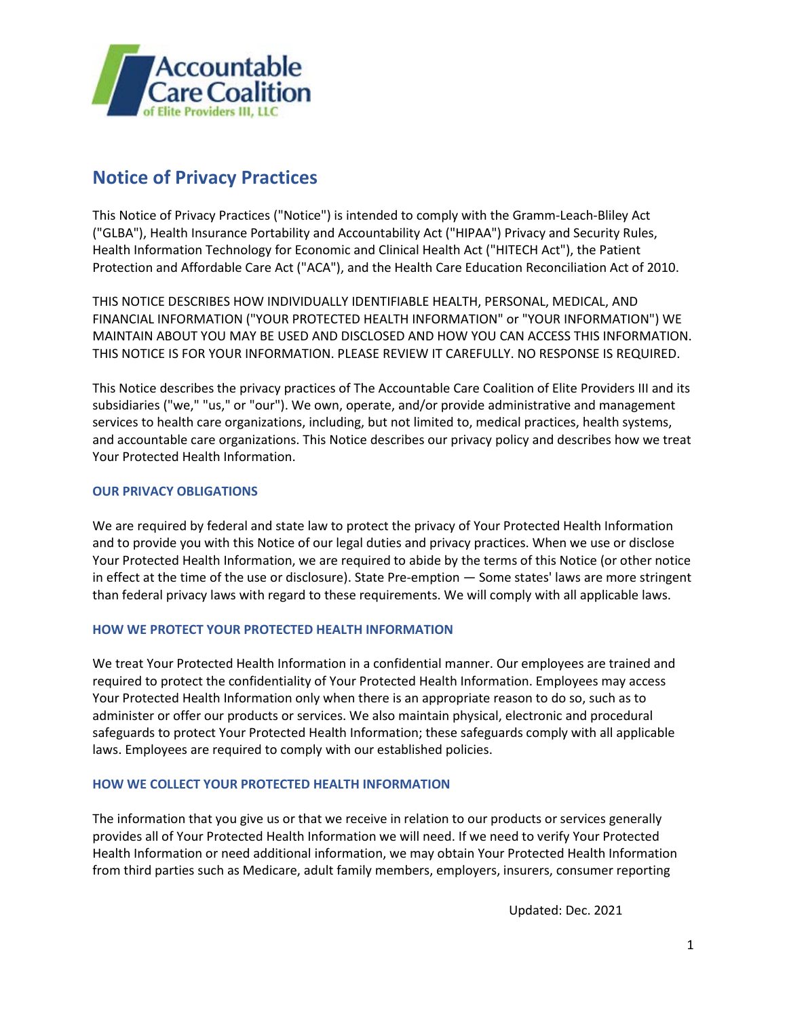

# **Notice of Privacy Practices**

This Notice of Privacy Practices ("Notice") is intended to comply with the Gramm-Leach-Bliley Act ("GLBA"), Health Insurance Portability and Accountability Act ("HIPAA") Privacy and Security Rules, Health Information Technology for Economic and Clinical Health Act ("HITECH Act"), the Patient Protection and Affordable Care Act ("ACA"), and the Health Care Education Reconciliation Act of 2010.

THIS NOTICE DESCRIBES HOW INDIVIDUALLY IDENTIFIABLE HEALTH, PERSONAL, MEDICAL, AND FINANCIAL INFORMATION ("YOUR PROTECTED HEALTH INFORMATION" or "YOUR INFORMATION") WE MAINTAIN ABOUT YOU MAY BE USED AND DISCLOSED AND HOW YOU CAN ACCESS THIS INFORMATION. THIS NOTICE IS FOR YOUR INFORMATION. PLEASE REVIEW IT CAREFULLY. NO RESPONSE IS REQUIRED.

This Notice describes the privacy practices of The Accountable Care Coalition of Elite Providers III and its subsidiaries ("we," "us," or "our"). We own, operate, and/or provide administrative and management services to health care organizations, including, but not limited to, medical practices, health systems, and accountable care organizations. This Notice describes our privacy policy and describes how we treat Your Protected Health Information.

## **OUR PRIVACY OBLIGATIONS**

We are required by federal and state law to protect the privacy of Your Protected Health Information and to provide you with this Notice of our legal duties and privacy practices. When we use or disclose Your Protected Health Information, we are required to abide by the terms of this Notice (or other notice in effect at the time of the use or disclosure). State Pre-emption — Some states' laws are more stringent than federal privacy laws with regard to these requirements. We will comply with all applicable laws.

## **HOW WE PROTECT YOUR PROTECTED HEALTH INFORMATION**

We treat Your Protected Health Information in a confidential manner. Our employees are trained and required to protect the confidentiality of Your Protected Health Information. Employees may access Your Protected Health Information only when there is an appropriate reason to do so, such as to administer or offer our products or services. We also maintain physical, electronic and procedural safeguards to protect Your Protected Health Information; these safeguards comply with all applicable laws. Employees are required to comply with our established policies.

## **HOW WE COLLECT YOUR PROTECTED HEALTH INFORMATION**

The information that you give us or that we receive in relation to our products or services generally provides all of Your Protected Health Information we will need. If we need to verify Your Protected Health Information or need additional information, we may obtain Your Protected Health Information from third parties such as Medicare, adult family members, employers, insurers, consumer reporting

Updated: Dec. 2021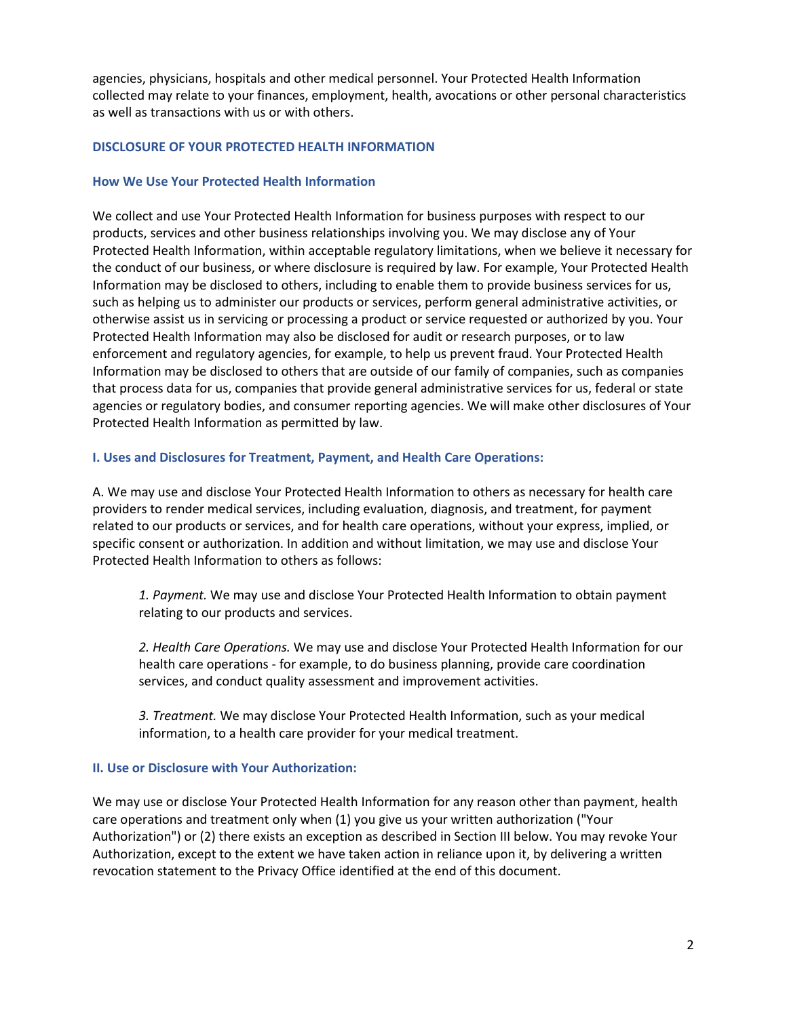agencies, physicians, hospitals and other medical personnel. Your Protected Health Information collected may relate to your finances, employment, health, avocations or other personal characteristics as well as transactions with us or with others.

#### **DISCLOSURE OF YOUR PROTECTED HEALTH INFORMATION**

#### **How We Use Your Protected Health Information**

We collect and use Your Protected Health Information for business purposes with respect to our products, services and other business relationships involving you. We may disclose any of Your Protected Health Information, within acceptable regulatory limitations, when we believe it necessary for the conduct of our business, or where disclosure is required by law. For example, Your Protected Health Information may be disclosed to others, including to enable them to provide business services for us, such as helping us to administer our products or services, perform general administrative activities, or otherwise assist us in servicing or processing a product or service requested or authorized by you. Your Protected Health Information may also be disclosed for audit or research purposes, or to law enforcement and regulatory agencies, for example, to help us prevent fraud. Your Protected Health Information may be disclosed to others that are outside of our family of companies, such as companies that process data for us, companies that provide general administrative services for us, federal or state agencies or regulatory bodies, and consumer reporting agencies. We will make other disclosures of Your Protected Health Information as permitted by law.

#### **I. Uses and Disclosures for Treatment, Payment, and Health Care Operations:**

A. We may use and disclose Your Protected Health Information to others as necessary for health care providers to render medical services, including evaluation, diagnosis, and treatment, for payment related to our products or services, and for health care operations, without your express, implied, or specific consent or authorization. In addition and without limitation, we may use and disclose Your Protected Health Information to others as follows:

*1. Payment.* We may use and disclose Your Protected Health Information to obtain payment relating to our products and services.

*2. Health Care Operations.* We may use and disclose Your Protected Health Information for our health care operations - for example, to do business planning, provide care coordination services, and conduct quality assessment and improvement activities.

*3. Treatment.* We may disclose Your Protected Health Information, such as your medical information, to a health care provider for your medical treatment.

#### **II. Use or Disclosure with Your Authorization:**

We may use or disclose Your Protected Health Information for any reason other than payment, health care operations and treatment only when (1) you give us your written authorization ("Your Authorization") or (2) there exists an exception as described in Section III below. You may revoke Your Authorization, except to the extent we have taken action in reliance upon it, by delivering a written revocation statement to the Privacy Office identified at the end of this document.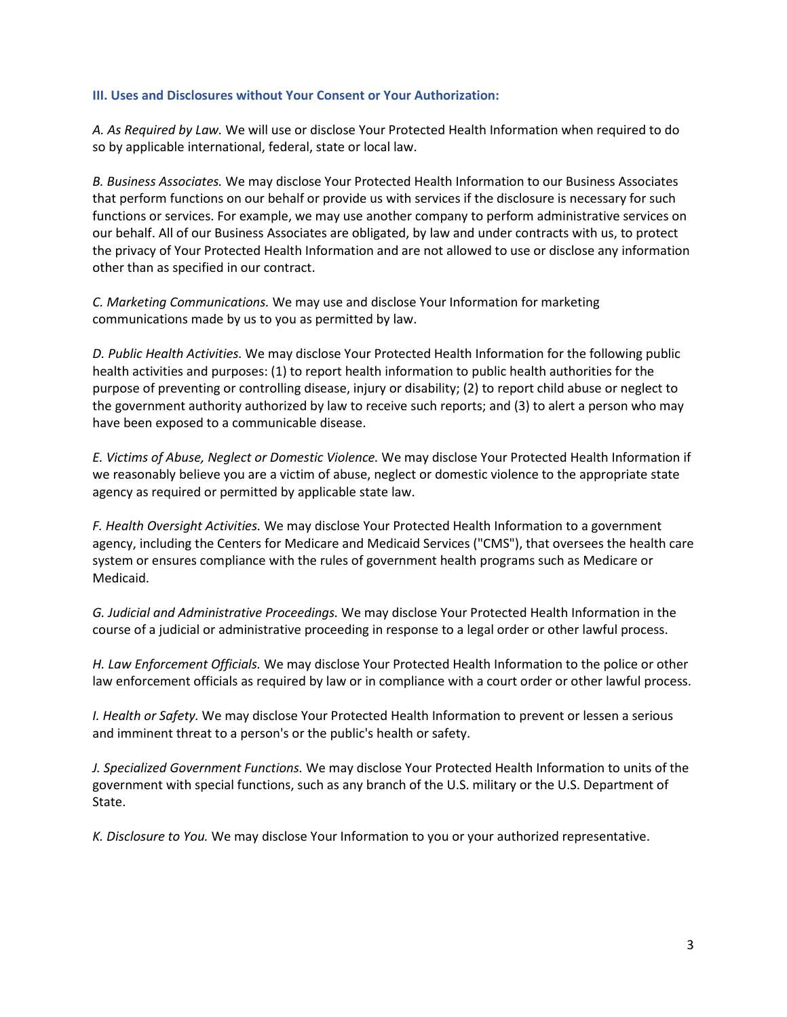#### **III. Uses and Disclosures without Your Consent or Your Authorization:**

*A. As Required by Law.* We will use or disclose Your Protected Health Information when required to do so by applicable international, federal, state or local law.

*B. Business Associates.* We may disclose Your Protected Health Information to our Business Associates that perform functions on our behalf or provide us with services if the disclosure is necessary for such functions or services. For example, we may use another company to perform administrative services on our behalf. All of our Business Associates are obligated, by law and under contracts with us, to protect the privacy of Your Protected Health Information and are not allowed to use or disclose any information other than as specified in our contract.

*C. Marketing Communications.* We may use and disclose Your Information for marketing communications made by us to you as permitted by law.

*D. Public Health Activities.* We may disclose Your Protected Health Information for the following public health activities and purposes: (1) to report health information to public health authorities for the purpose of preventing or controlling disease, injury or disability; (2) to report child abuse or neglect to the government authority authorized by law to receive such reports; and (3) to alert a person who may have been exposed to a communicable disease.

*E. Victims of Abuse, Neglect or Domestic Violence.* We may disclose Your Protected Health Information if we reasonably believe you are a victim of abuse, neglect or domestic violence to the appropriate state agency as required or permitted by applicable state law.

*F. Health Oversight Activities.* We may disclose Your Protected Health Information to a government agency, including the Centers for Medicare and Medicaid Services ("CMS"), that oversees the health care system or ensures compliance with the rules of government health programs such as Medicare or Medicaid.

*G. Judicial and Administrative Proceedings.* We may disclose Your Protected Health Information in the course of a judicial or administrative proceeding in response to a legal order or other lawful process.

*H. Law Enforcement Officials.* We may disclose Your Protected Health Information to the police or other law enforcement officials as required by law or in compliance with a court order or other lawful process.

*I. Health or Safety.* We may disclose Your Protected Health Information to prevent or lessen a serious and imminent threat to a person's or the public's health or safety.

*J. Specialized Government Functions.* We may disclose Your Protected Health Information to units of the government with special functions, such as any branch of the U.S. military or the U.S. Department of State.

*K. Disclosure to You.* We may disclose Your Information to you or your authorized representative.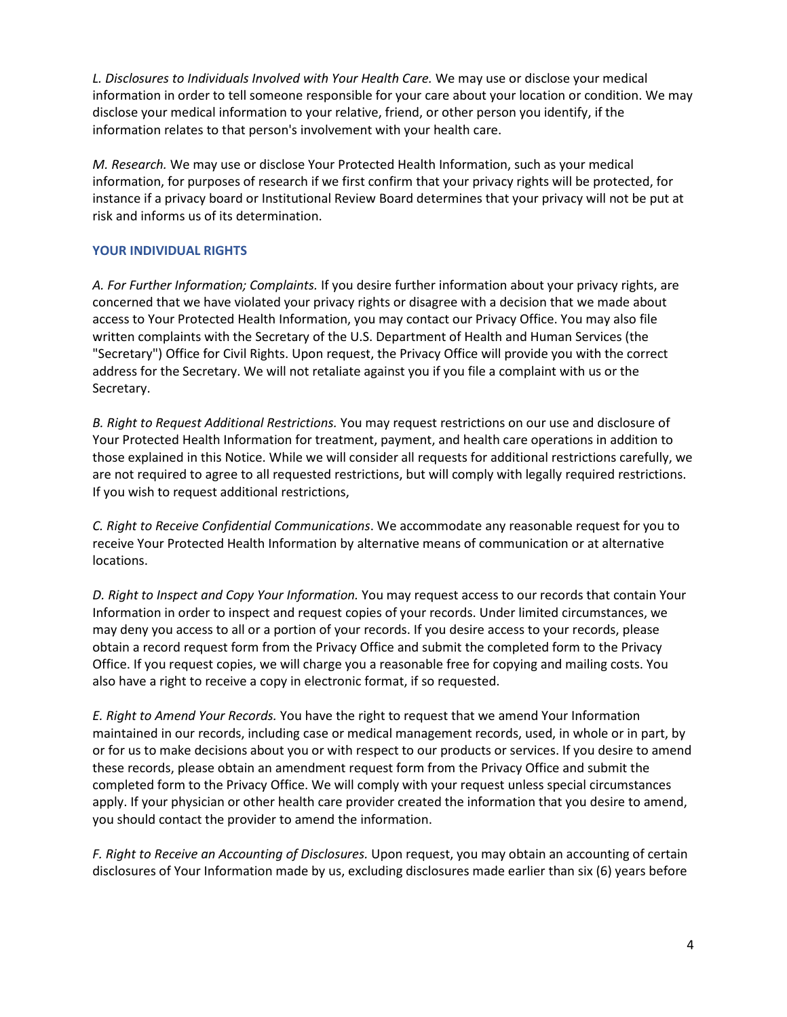*L. Disclosures to Individuals Involved with Your Health Care.* We may use or disclose your medical information in order to tell someone responsible for your care about your location or condition. We may disclose your medical information to your relative, friend, or other person you identify, if the information relates to that person's involvement with your health care.

*M. Research.* We may use or disclose Your Protected Health Information, such as your medical information, for purposes of research if we first confirm that your privacy rights will be protected, for instance if a privacy board or Institutional Review Board determines that your privacy will not be put at risk and informs us of its determination.

# **YOUR INDIVIDUAL RIGHTS**

*A. For Further Information; Complaints.* If you desire further information about your privacy rights, are concerned that we have violated your privacy rights or disagree with a decision that we made about access to Your Protected Health Information, you may contact our Privacy Office. You may also file written complaints with the Secretary of the U.S. Department of Health and Human Services (the "Secretary") Office for Civil Rights. Upon request, the Privacy Office will provide you with the correct address for the Secretary. We will not retaliate against you if you file a complaint with us or the Secretary.

*B. Right to Request Additional Restrictions.* You may request restrictions on our use and disclosure of Your Protected Health Information for treatment, payment, and health care operations in addition to those explained in this Notice. While we will consider all requests for additional restrictions carefully, we are not required to agree to all requested restrictions, but will comply with legally required restrictions. If you wish to request additional restrictions,

*C. Right to Receive Confidential Communications*. We accommodate any reasonable request for you to receive Your Protected Health Information by alternative means of communication or at alternative locations.

*D. Right to Inspect and Copy Your Information.* You may request access to our records that contain Your Information in order to inspect and request copies of your records. Under limited circumstances, we may deny you access to all or a portion of your records. If you desire access to your records, please obtain a record request form from the Privacy Office and submit the completed form to the Privacy Office. If you request copies, we will charge you a reasonable free for copying and mailing costs. You also have a right to receive a copy in electronic format, if so requested.

*E. Right to Amend Your Records.* You have the right to request that we amend Your Information maintained in our records, including case or medical management records, used, in whole or in part, by or for us to make decisions about you or with respect to our products or services. If you desire to amend these records, please obtain an amendment request form from the Privacy Office and submit the completed form to the Privacy Office. We will comply with your request unless special circumstances apply. If your physician or other health care provider created the information that you desire to amend, you should contact the provider to amend the information.

*F. Right to Receive an Accounting of Disclosures.* Upon request, you may obtain an accounting of certain disclosures of Your Information made by us, excluding disclosures made earlier than six (6) years before